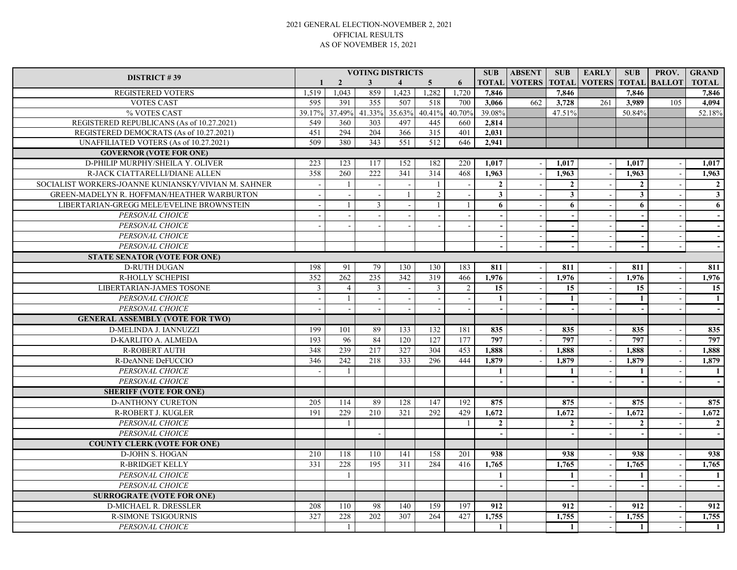## 2021 GENERAL ELECTION-NOVEMBER 2, 2021 OFFICIAL RESULTS AS OF NOVEMBER 15, 2021

|                                                     | <b>VOTING DISTRICTS</b> |                |                  |                          |                          |        |                 | <b>ABSENT</b>       | <b>SUB</b>     | <b>EARLY</b>             | <b>SUB</b>              | PROV.         | <b>GRAND</b>   |
|-----------------------------------------------------|-------------------------|----------------|------------------|--------------------------|--------------------------|--------|-----------------|---------------------|----------------|--------------------------|-------------------------|---------------|----------------|
| <b>DISTRICT #39</b>                                 | $\mathbf{1}$            | $\overline{2}$ | $\mathbf{3}$     | $\overline{\mathbf{4}}$  | 5 <sup>5</sup>           | 6      |                 | <b>TOTAL VOTERS</b> | <b>TOTAL</b>   | <b>VOTERS</b>            | <b>TOTAL</b>            | <b>BALLOT</b> | <b>TOTAL</b>   |
| <b>REGISTERED VOTERS</b>                            | 1,519                   | 1.043          | 859              | 1,423                    | 1,282                    | ,720   | 7.846           |                     | 7.846          |                          | 7.846                   |               | 7,846          |
| <b>VOTES CAST</b>                                   | 595                     | 391            | $\overline{355}$ | 507                      | 518                      | 700    | 3,066           | 662                 | 3,728          | 261                      | 3,989                   | 105           | 4,094          |
| % VOTES CAST                                        | 39.17%                  | 37.49%         | 41.33%           | 35.63%                   | 40.41%                   | 40.70% | 39.08%          |                     | 47.51%         |                          | 50.84%                  |               | 52.18%         |
| REGISTERED REPUBLICANS (As of 10.27.2021)           | 549                     | 360            | 303              | 497                      | 445                      | 660    | 2,814           |                     |                |                          |                         |               |                |
| REGISTERED DEMOCRATS (As of 10.27.2021)             | 451                     | 294            | 204              | 366                      | $\overline{315}$         | 401    | 2,031           |                     |                |                          |                         |               |                |
| UNAFFILIATED VOTERS (As of 10.27.2021)              | 509                     | 380            | 343              | 551                      | 512                      | 646    | 2,941           |                     |                |                          |                         |               |                |
| <b>GOVERNOR (VOTE FOR ONE)</b>                      |                         |                |                  |                          |                          |        |                 |                     |                |                          |                         |               |                |
| D-PHILIP MURPHY/SHEILA Y. OLIVER                    | 223                     | 123            | 117              | 152                      | 182                      | 220    | 1,017           |                     | 1,017          |                          | 1,017                   |               | 1,017          |
| R-JACK CIATTARELLI/DIANE ALLEN                      | 358                     | 260            | 222              | 341                      | 314                      | 468    | 1,963           |                     | 1,963          | $\overline{\phantom{a}}$ | 1,963                   |               | 1,963          |
| SOCIALIST WORKERS-JOANNE KUNIANSKY/VIVIAN M. SAHNER |                         | $\overline{1}$ |                  |                          | $\overline{\phantom{a}}$ |        | $\mathbf 2$     |                     | $\mathbf{2}$   |                          | $\overline{2}$          |               | $\overline{2}$ |
| GREEN-MADELYN R. HOFFMAN/HEATHER WARBURTON          |                         |                | $\blacksquare$   | $\overline{1}$           | $\overline{2}$           |        | $\mathbf{3}$    |                     | $\mathbf{3}$   | $\sim$                   | $\overline{\mathbf{3}}$ |               | $\mathbf{3}$   |
| LIBERTARIAN-GREGG MELE/EVELINE BROWNSTEIN           |                         |                | $\overline{3}$   |                          | $\overline{1}$           |        | 6               |                     | 6              | $\sim$                   | 6                       |               | 6              |
| PERSONAL CHOICE                                     |                         |                |                  |                          |                          |        |                 |                     |                |                          |                         |               |                |
| PERSONAL CHOICE                                     |                         |                |                  |                          |                          |        |                 |                     |                | $\sim$                   |                         |               |                |
| PERSONAL CHOICE                                     |                         |                |                  |                          |                          |        |                 |                     |                |                          |                         |               |                |
| PERSONAL CHOICE                                     |                         |                |                  |                          |                          |        |                 |                     |                |                          |                         |               |                |
| <b>STATE SENATOR (VOTE FOR ONE)</b>                 |                         |                |                  |                          |                          |        |                 |                     |                |                          |                         |               |                |
| <b>D-RUTH DUGAN</b>                                 | 198                     | 91             | 79               | 130                      | 130                      | 183    | 811             |                     | 811            | $\overline{\phantom{a}}$ | 811                     |               | 811            |
| R-HOLLY SCHEPISI                                    | 352                     | 262            | 235              | 342                      | 319                      | 466    | 1,976           |                     | 1,976          |                          | 1,976                   |               | 1,976          |
| <b>LIBERTARIAN-JAMES TOSONE</b>                     | $\overline{3}$          | $\overline{4}$ | $\overline{3}$   | $\overline{a}$           | 3                        | 2      | $\overline{15}$ |                     | 15             | $\sim$                   | 15                      |               | 15             |
| PERSONAL CHOICE                                     |                         | $\overline{1}$ |                  | $\overline{\phantom{a}}$ |                          |        | 1               |                     | 1              |                          | 1                       |               | -1             |
| PERSONAL CHOICE                                     |                         |                |                  |                          |                          |        |                 |                     |                |                          |                         |               |                |
| <b>GENERAL ASSEMBLY (VOTE FOR TWO)</b>              |                         |                |                  |                          |                          |        |                 |                     |                |                          |                         |               |                |
| D-MELINDA J. IANNUZZI                               | 199                     | 101            | 89               | 133                      | 132                      | 181    | 835             |                     | 835            |                          | 835                     |               | 835            |
| D-KARLITO A. ALMEDA                                 | 193                     | 96             | 84               | 120                      | 127                      | 177    | 797             |                     | 797            |                          | 797                     |               | 797            |
| <b>R-ROBERT AUTH</b>                                | 348                     | 239            | 217              | 327                      | 304                      | 453    | 1,888           |                     | 1,888          | $\sim$                   | 1.888                   |               | 1,888          |
| R-DeANNE DeFUCCIO                                   | 346                     | 242            | 218              | 333                      | 296                      | 444    | 1,879           |                     | 1,879          | $\overline{\phantom{a}}$ | 1,879                   |               | 1,879          |
| PERSONAL CHOICE                                     |                         | $\overline{1}$ |                  |                          |                          |        | $\mathbf{1}$    |                     | $\mathbf{1}$   |                          | $\mathbf{1}$            |               | $\mathbf{1}$   |
| PERSONAL CHOICE                                     |                         |                |                  |                          |                          |        |                 |                     |                |                          |                         |               |                |
| <b>SHERIFF (VOTE FOR ONE)</b>                       |                         |                |                  |                          |                          |        |                 |                     |                |                          |                         |               |                |
| <b>D-ANTHONY CURETON</b>                            | 205                     | 114            | 89               | 128                      | 147                      | 192    | 875             |                     | 875            |                          | 875                     |               | 875            |
| R-ROBERT J. KUGLER                                  | 191                     | 229            | 210              | 321                      | 292                      | 429    | 1,672           |                     | 1.672          | $\overline{\phantom{a}}$ | 1,672                   |               | 1,672          |
| PERSONAL CHOICE                                     |                         | $\overline{1}$ |                  |                          |                          | - 1    | $\overline{2}$  |                     | $\overline{2}$ |                          | $\overline{2}$          |               | $\overline{2}$ |
| PERSONAL CHOICE                                     |                         |                |                  |                          |                          |        |                 |                     |                |                          |                         |               |                |
| <b>COUNTY CLERK (VOTE FOR ONE)</b>                  |                         |                |                  |                          |                          |        |                 |                     |                |                          |                         |               |                |
| <b>D-JOHN S. HOGAN</b>                              | 210                     | 118            | 110              | 141                      | 158                      | 201    | 938             |                     | 938            |                          | 938                     |               | 938            |
| <b>R-BRIDGET KELLY</b>                              | 331                     | 228            | 195              | 311                      | 284                      | 416    | 1,765           |                     | 1.765          |                          | 1.765                   |               | 1,765          |
| PERSONAL CHOICE                                     |                         | $\overline{1}$ |                  |                          |                          |        | $\mathbf{1}$    |                     | 1              | $\overline{\phantom{a}}$ | $\mathbf{1}$            |               | $\mathbf{1}$   |
| PERSONAL CHOICE                                     |                         |                |                  |                          |                          |        |                 |                     |                |                          |                         |               |                |
| <b>SURROGRATE (VOTE FOR ONE)</b>                    |                         |                |                  |                          |                          |        |                 |                     |                |                          |                         |               |                |
| <b>D-MICHAEL R. DRESSLER</b>                        | 208                     | 110            | 98               | 140                      | 159                      | 197    | 912             |                     | 912            |                          | 912                     |               | 912            |
| <b>R-SIMONE TSIGOURNIS</b>                          | 327                     | 228            | 202              | 307                      | 264                      | 427    | 1,755           |                     | 1,755          |                          | 1,755                   |               | 1,755          |
| PERSONAL CHOICE                                     |                         | -1             |                  |                          |                          |        | $\mathbf{1}$    |                     | 1              | $\sim$                   | $\mathbf{1}$            | $\sim$        | -1             |